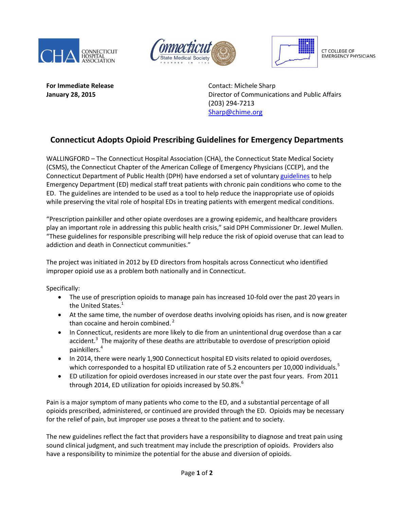





CT COLLEGE OF **EMERGENCY PHYSICIANS** 

**For Immediate Release Contact: Michele Sharp** 

**January 28, 2015 Director of Communications and Public Affairs** (203) 294-7213 [Sharp@chime.org](mailto:Sharp@chime.org)

## **Connecticut Adopts Opioid Prescribing Guidelines for Emergency Departments**

WALLINGFORD – The Connecticut Hospital Association (CHA), the Connecticut State Medical Society (CSMS), the Connecticut Chapter of the American College of Emergency Physicians (CCEP), and the Connecticut Department of Public Health (DPH) have endorsed a set of voluntary [guidelines](http://documents.cthosp.org/9/Opioid%20Guidelines%20FINAL%201_20_2015.pdf) to help Emergency Department (ED) medical staff treat patients with chronic pain conditions who come to the ED. The guidelines are intended to be used as a tool to help reduce the inappropriate use of opioids while preserving the vital role of hospital EDs in treating patients with emergent medical conditions.

"Prescription painkiller and other opiate overdoses are a growing epidemic, and healthcare providers play an important role in addressing this public health crisis," said DPH Commissioner Dr. Jewel Mullen. "These guidelines for responsible prescribing will help reduce the risk of opioid overuse that can lead to addiction and death in Connecticut communities."

The project was initiated in 2012 by ED directors from hospitals across Connecticut who identified improper opioid use as a problem both nationally and in Connecticut.

Specifically:

- The use of prescription opioids to manage pain has increased 10-fold over the past 20 years in the United States.<sup>1</sup>
- At the same time, the number of overdose deaths involving opioids has risen, and is now greater than cocaine and heroin combined.<sup>2</sup>
- In Connecticut, residents are more likely to die from an unintentional drug overdose than a car accident.<sup>3</sup> The majority of these deaths are attributable to overdose of prescription opioid painkillers.<sup>4</sup>
- In 2014, there were nearly 1,900 Connecticut hospital ED visits related to opioid overdoses, which corresponded to a hospital ED utilization rate of 5.2 encounters per 10,000 individuals.<sup>5</sup>
- ED utilization for opioid overdoses increased in our state over the past four years. From 2011 through 2014, ED utilization for opioids increased by 50.8%. $^6$

Pain is a major symptom of many patients who come to the ED, and a substantial percentage of all opioids prescribed, administered, or continued are provided through the ED. Opioids may be necessary for the relief of pain, but improper use poses a threat to the patient and to society.

The new guidelines reflect the fact that providers have a responsibility to diagnose and treat pain using sound clinical judgment, and such treatment may include the prescription of opioids. Providers also have a responsibility to minimize the potential for the abuse and diversion of opioids.